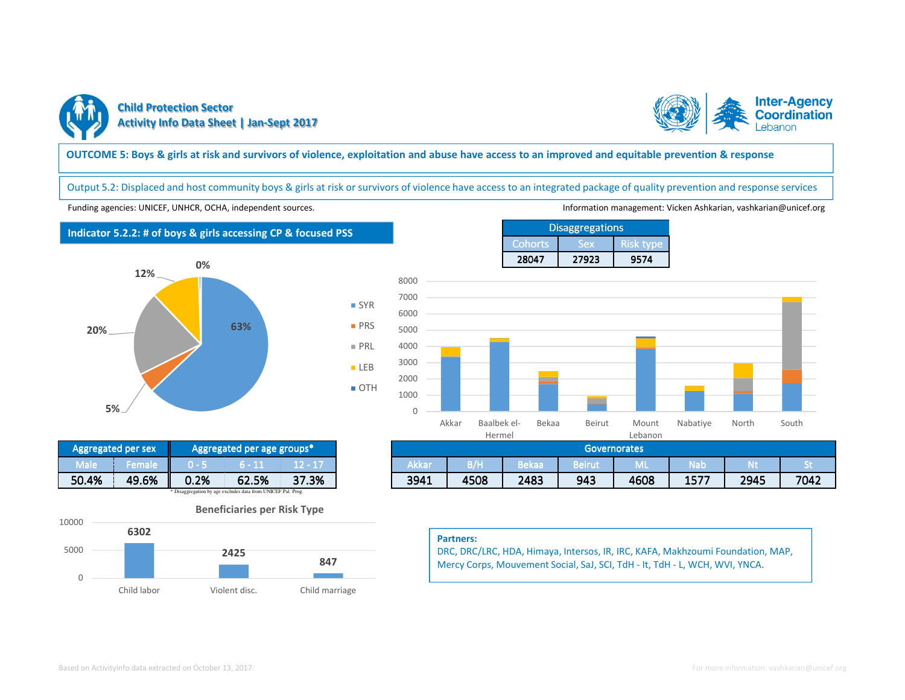



## **OUTCOME 5: Boys & girls at risk and survivors of violence, exploitation and abuse have access to an improved and equitable prevention & response**

■ SYR **PRS PRL** ■ LEB ■ OTH

Output 5.2: Displaced and host community boys & girls at risk or survivors of violence have access to an integrated package of quality prevention and response services

Funding agencies: UNICEF, UNHCR, OCHA, independent sources. Information management: Vicken Ashkarian, vashkarian@unicef.org

# **Indicator 5.2.2: # of boys & girls accessing CP & focused PSS**





Cohorts Sex Risk type <sup>28047</sup> <sup>27923</sup> <sup>9574</sup> **Disaggregations** 



| gregated per age groups* |                 | <b>Governorates</b> |      |       |                       |             |      |      |      |
|--------------------------|-----------------|---------------------|------|-------|-----------------------|-------------|------|------|------|
| 5 – 11                   | <b>Contract</b> | Akkar               | B/H  | Bekaa | <b>Doinu</b><br>очна. | <b>IVIL</b> | Nab  |      | . .  |
| ℅<br>62.5%               | 37.3%           | 3941                | 4508 | 2483  | 943                   | 4608        | 1577 | 2945 | 7042 |

#### **Partners:**

DRC, DRC/LRC, HDA, Himaya, Intersos, IR, IRC, KAFA, Makhzoumi Foundation, MAP, Mercy Corps, Mouvement Social, SaJ, SCI, TdH - It, TdH - L, WCH, WVI, YNCA.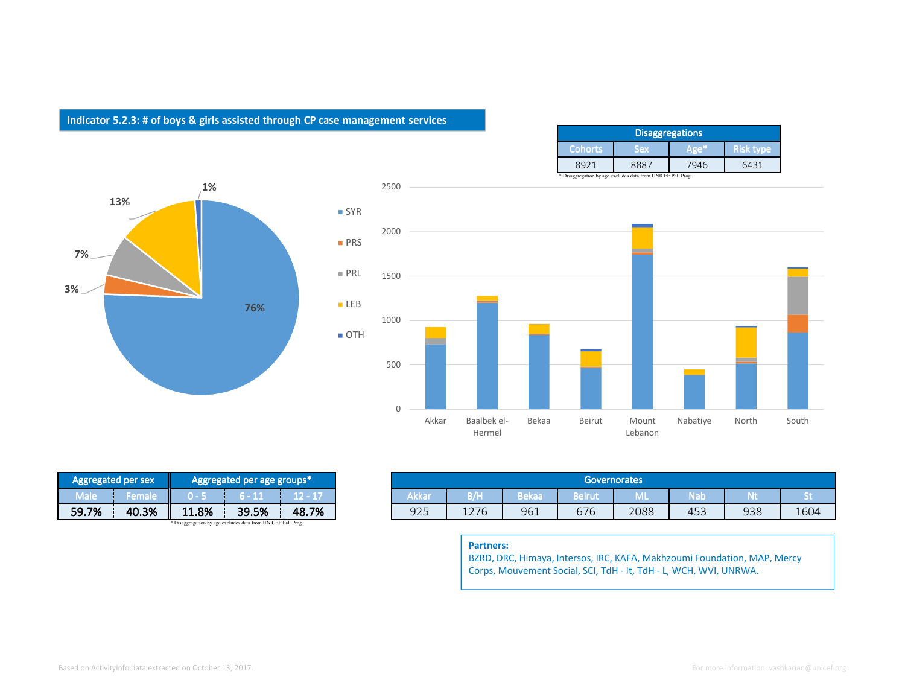## **Indicator 5.2.3: # of boys & girls assisted through CP case management services**

| <b>Disaggregations</b> |      |      |                  |  |  |  |  |
|------------------------|------|------|------------------|--|--|--|--|
| <b>Cohorts</b>         | Sex  |      | <b>Risk type</b> |  |  |  |  |
| $892^{\circ}$          | 888. | 7946 | 6431             |  |  |  |  |





| Aggregated per sex                                           |               |       | Aggregated per age groups* |            |  |
|--------------------------------------------------------------|---------------|-------|----------------------------|------------|--|
| Male                                                         | <b>Female</b> |       | $6 - 11$                   | $12 - 17i$ |  |
| 59.7%                                                        | 40.3%         | 11.8% | 39.5%                      | 48.7%      |  |
| * Disaggregation by age excludes data from UNICEF Pal. Prog. |               |       |                            |            |  |

| <b>Governorates</b><br>Aggregated per age groups*                     |
|-----------------------------------------------------------------------|
| Akkar<br>з/н<br>Bekaa<br>n La B<br>ain i<br>5 - IN<br>oenu<br>v.<br>. |
| 925<br>48.7%<br>39.5%<br>961<br>676<br>2088<br>1276<br>453            |

### **Partners:**

 BZRD, DRC, Himaya, Intersos, IRC, KAFA, Makhzoumi Foundation, MAP, Mercy Corps, Mouvement Social, SCI, TdH - It, TdH - L, WCH, WVI, UNRWA.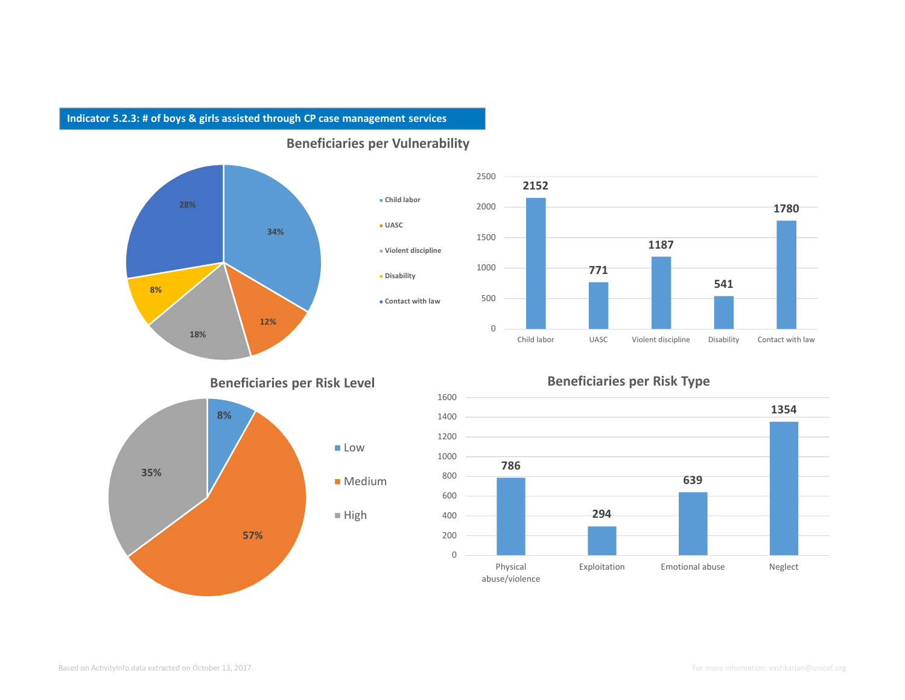## **Indicator 5.2.3: # of boys & girls assisted through CP case management services**



**Beneficiaries per Vulnerability**



# **Beneficiaries per Risk Level**



# **Beneficiaries per Risk Type**

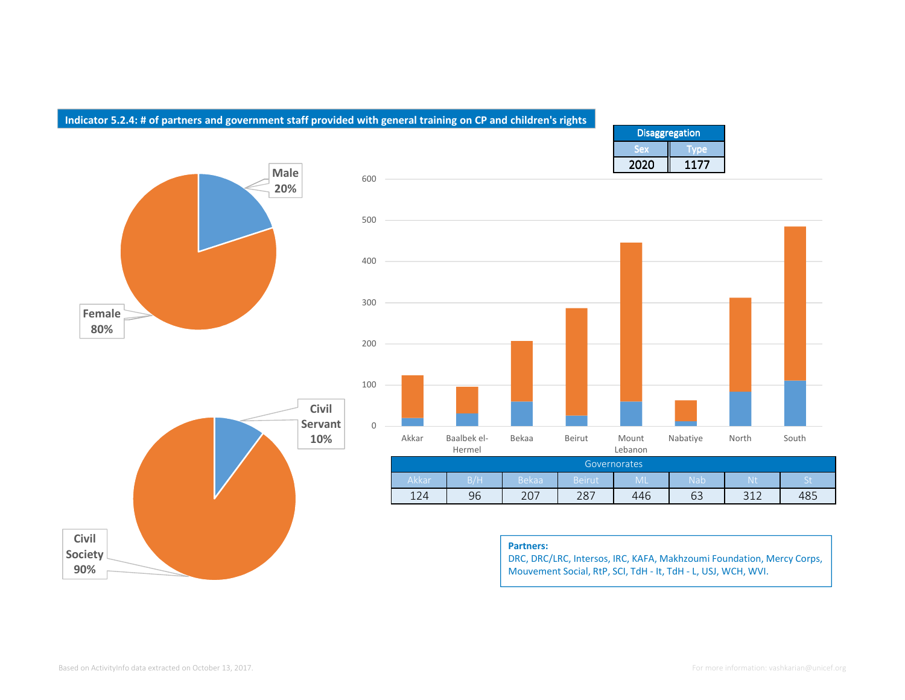## **Indicator 5.2.4: # of partners and government staff provided with general training on CP and children's rights**

600









#### **Partners:**

 DRC, DRC/LRC, Intersos, IRC, KAFA, Makhzoumi Foundation, Mercy Corps, Mouvement Social, RtP, SCI, TdH - It, TdH - L, USJ, WCH, WVI.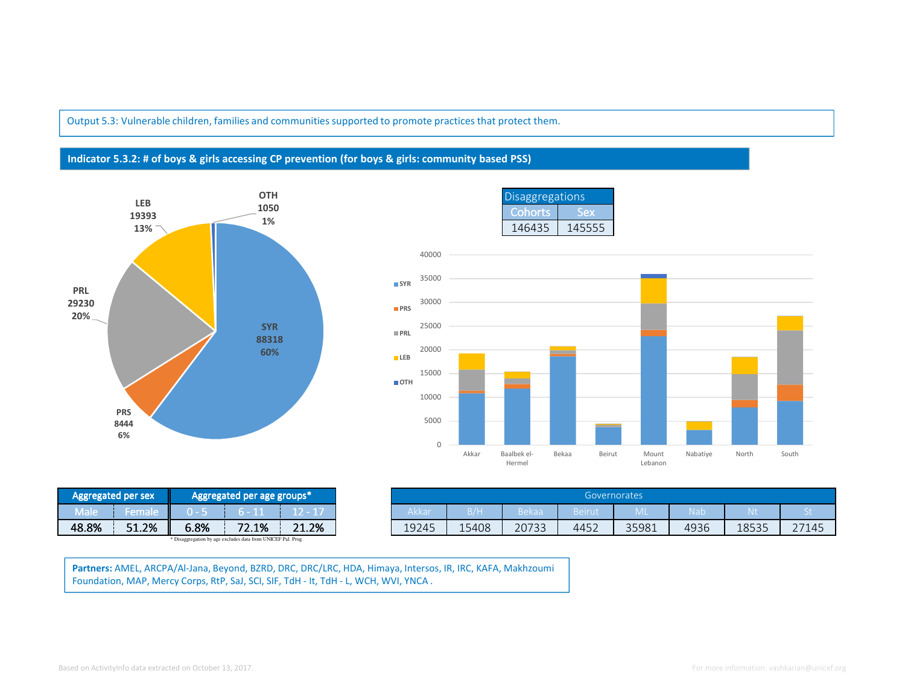Output 5.3: Vulnerable children, families and communities supported to promote practices that protect them.

## **Indicator 5.3.2: # of boys & girls accessing CP prevention (for boys & girls: community based PSS)**





| egated per sex |      | Aggregated per age groups* |       |
|----------------|------|----------------------------|-------|
| remar          | ,    |                            |       |
| 51.2%          | 6.8% | 72.1%                      | 21.2% |

**Partners:** AMEL, ARCPA/Al-Jana, Beyond, BZRD, DRC, DRC/LRC, HDA, Himaya, Intersos, IR, IRC, KAFA, Makhzoumi Foundation, MAP, Mercy Corps, RtP, SaJ, SCI, SIF, TdH - It, TdH - L, WCH, WVI, YNCA .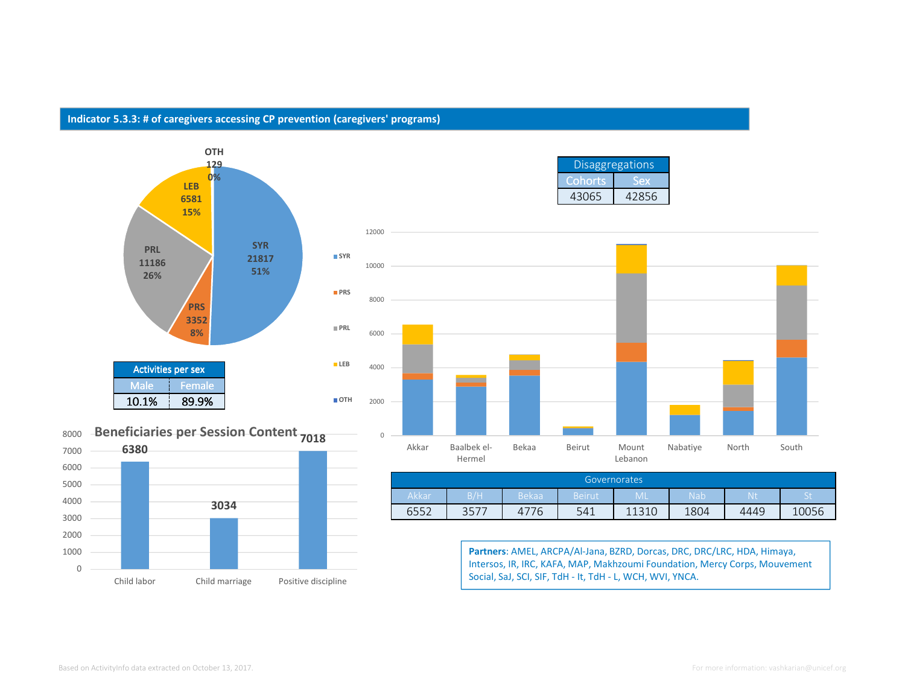# **Indicator 5.3.3: # of caregivers accessing CP prevention (caregivers' programs)**







Disaggregations

| Governorates |      |              |        |       |            |      |                    |  |
|--------------|------|--------------|--------|-------|------------|------|--------------------|--|
| Akkar        | B/H  | <b>Bekaa</b> | Beirut | ML    | <b>Nab</b> | Nť   | $\mathsf{C}$<br>ರಾ |  |
| 6552         | 3577 | 4<br>' b     | 541    | 11210 | 1804       | 4449 | .0056              |  |

**Partners**: AMEL, ARCPA/Al-Jana, BZRD, Dorcas, DRC, DRC/LRC, HDA, Himaya, Intersos, IR, IRC, KAFA, MAP, Makhzoumi Foundation, Mercy Corps, Mouvement Social, SaJ, SCI, SIF, TdH - It, TdH - L, WCH, WVI, YNCA.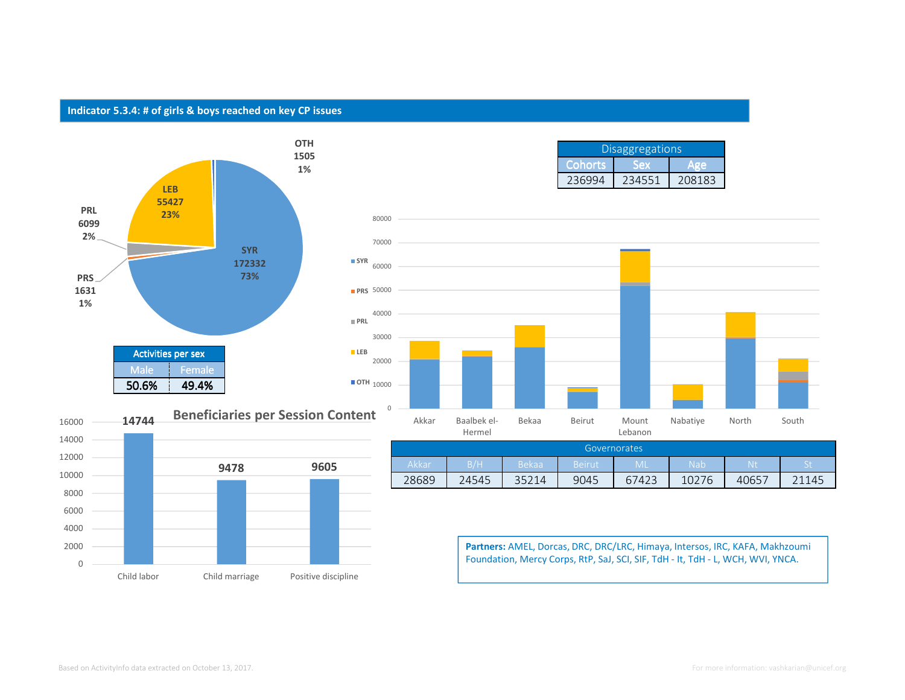## **Indicator 5.3.4: # of girls & boys reached on key CP issues**





| <b>Disaggregations</b> |  |  |  |  |  |  |
|------------------------|--|--|--|--|--|--|
| Cohorts                |  |  |  |  |  |  |
|                        |  |  |  |  |  |  |



| Governorates |       |              |        |       |       |       |            |  |
|--------------|-------|--------------|--------|-------|-------|-------|------------|--|
| Akkar        | B/H   | <b>Bekaa</b> | Beirut | ML    | Nab   | ιΝť   | $C +$<br>ા |  |
| 28689        | 24545 | 35214        | 9045   | 67423 | 10276 | 40657 | 145        |  |

**Partners:** AMEL, Dorcas, DRC, DRC/LRC, Himaya, Intersos, IRC, KAFA, Makhzoumi Foundation, Mercy Corps, RtP, SaJ, SCI, SIF, TdH - It, TdH - L, WCH, WVI, YNCA.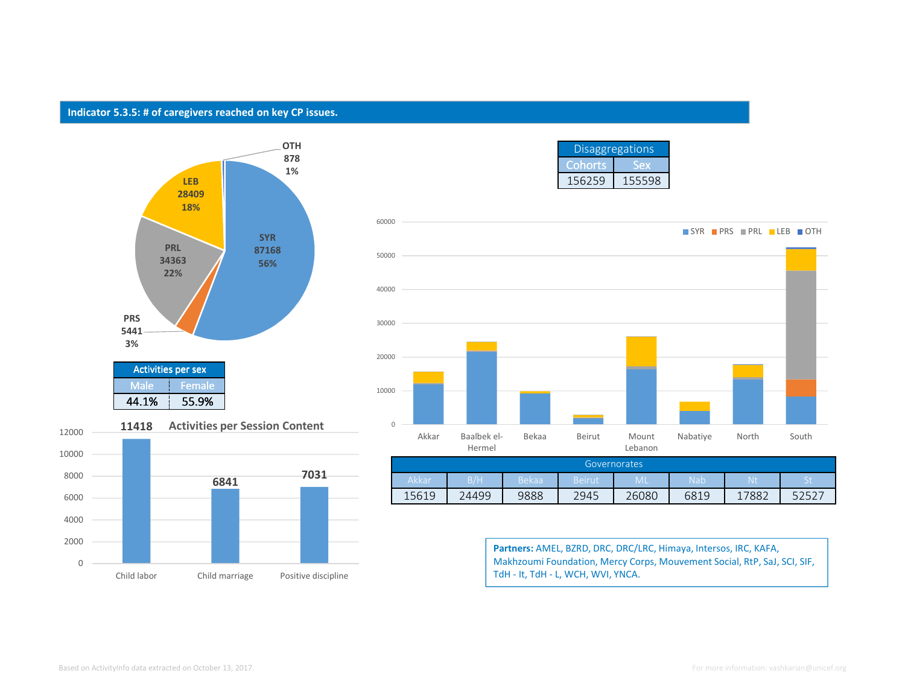## **Indicator 5.3.5: # of caregivers reached on key CP issues.**





| <b>Disaggregations</b> |        |  |  |  |  |
|------------------------|--------|--|--|--|--|
| <b>Cohorts</b>         |        |  |  |  |  |
| 156259                 | 155598 |  |  |  |  |



| Governorates |       |              |        |           |                  |      |        |  |  |
|--------------|-------|--------------|--------|-----------|------------------|------|--------|--|--|
| Akkar        | B/H   | <b>Bekaa</b> | Beirut | <b>ML</b> | Nab <sup>i</sup> |      | ъ<br>◡ |  |  |
| 15619        | 24499 | 9888         | 2945   | 26080     | 6819             | 7882 |        |  |  |

**Partners:** AMEL, BZRD, DRC, DRC/LRC, Himaya, Intersos, IRC, KAFA, Makhzoumi Foundation, Mercy Corps, Mouvement Social, RtP, SaJ, SCI, SIF, TdH - It, TdH - L, WCH, WVI, YNCA.

12000